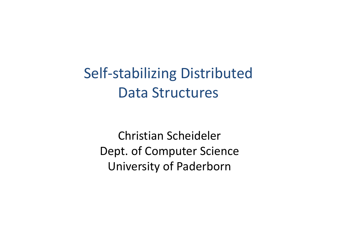Self‐stabilizing Distributed Data Structures

Christian Scheideler Dept. of Computer Science University of Paderborn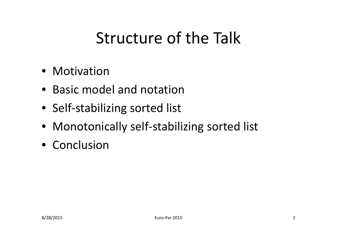#### Structure of the Talk

- Motivation
- Basic model and notation
- Self-stabilizing sorted list
- Monotonically self-stabilizing sorted list
- Conclusion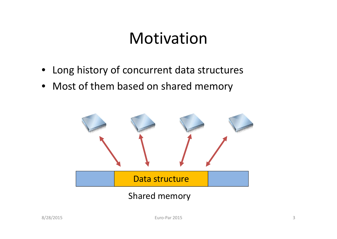- Long history of concurrent data structures
- Most of them based on shared memory

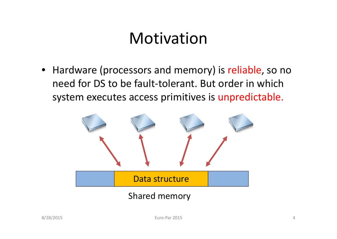• Hardware (processors and memory) is reliable, so no need for DS to be fault‐tolerant. But order in which system executes access primitives is unpredictable.

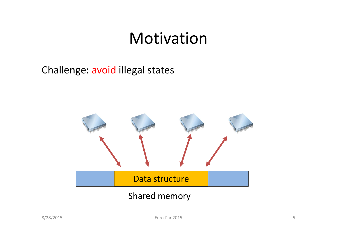#### Challenge: avoid illegal states

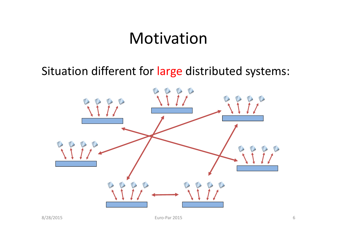#### Situation different for large distributed systems:

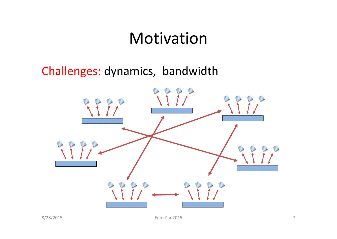#### Challenges: dynamics, bandwidth

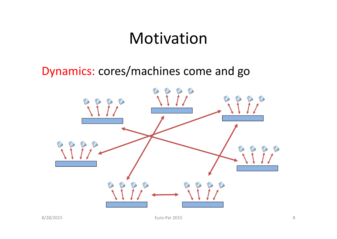#### Dynamics: cores/machines come and go

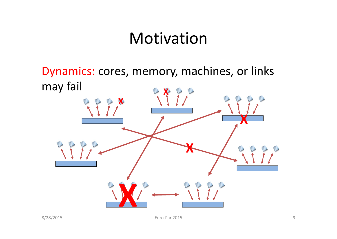Dynamics: cores, memory, machines, or links may fail **XX XXX**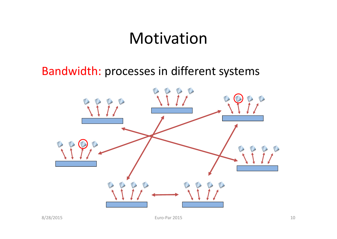#### Bandwidth: processes in different systems

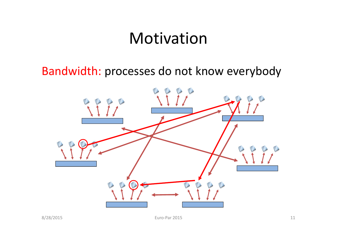#### Bandwidth: processes do not know everybody

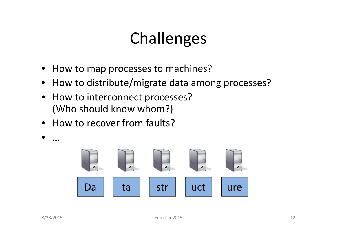#### Challenges

- •How to map processes to machines?
- $\bullet$ How to distribute/migrate data among processes?
- $\bullet$  How to interconnect processes? (Who should know whom?)
- How to recover from faults?



•

…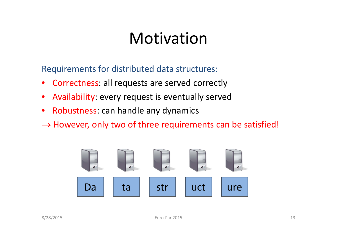Requirements for distributed data structures:

- •Correctness: all requests are served correctly
- •Availability: every request is eventually served
- $\bullet$ • Robustness: can handle any dynamics
- $\rightarrow$  However, only two of three requirements can be satisfied!

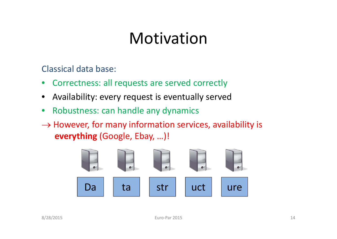Classical data base:

- •Correctness: all requests are served correctly
- •Availability: every request is eventually served
- $\bullet$ Robustness: can handle any dynamics
- $\rightarrow$  However, for many information services, availability is **everything** (Google, Ebay, …)!

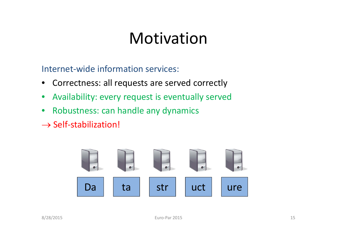Internet‐wide information services:

- $\bullet$ Correctness: all requests are served correctly
- $\bullet$ Availability: every request is eventually served
- $\bullet$ Robustness: can handle any dynamics
- $\rightarrow$  Self-stabilization!

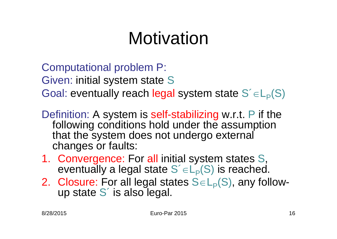Computational problem P: Given: initial system state S Goal: eventually reach legal system state  $S' \in L_P(S)$ 

- Definition: A system is self-stabilizing w.r.t. P if the following conditions hold under the assumption that the system does not undergo external changes or faults:
- 1. Convergence: For all initial system states S, eventually a legal state  $S' \in L_P(S)$  is reached.
- 2. Closure: For all legal states  $S \in L_P(S)$ , any followup state S´ is also legal.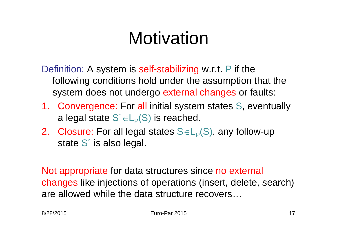Definition: A system is self-stabilizing w.r.t. P if the following conditions hold under the assumption that the system does not undergo external changes or faults:

- 1. Convergence: For all initial system states S, eventually a legal state  $S' \in L_P(S)$  is reached.
- 2. Closure: For all legal states  $S \in L_P(S)$ , any follow-up state S´ is also legal.

Not appropriate for data structures since no external changes like injections of operations (insert, delete, search) are allowed while the data structure recovers…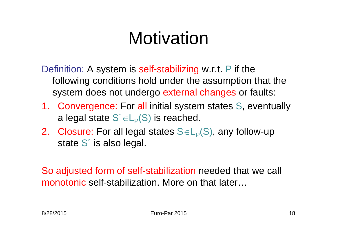Definition: A system is self-stabilizing w.r.t. P if the following conditions hold under the assumption that the system does not undergo external changes or faults:

- 1. Convergence: For all initial system states S, eventually a legal state  $S' \in L_P(S)$  is reached.
- 2. Closure: For all legal states  $S \in L_P(S)$ , any follow-up state S´ is also legal.

So adjusted form of self-stabilization needed that we call monotonic self-stabilization. More on that later…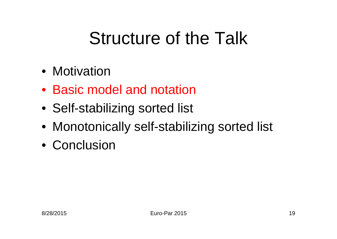# Structure of the Talk

- Motivation
- Basic model and notation
- Self-stabilizing sorted list
- Monotonically self-stabilizing sorted list
- Conclusion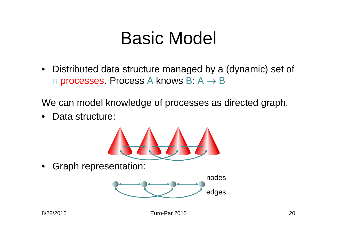### Basic Model

• Distributed data structure managed by a (dynamic) set of n processes. Process A knows B:  $A \rightarrow B$ 

We can model knowledge of processes as directed graph.

 $\bullet$ Data structure:



•Graph representation:

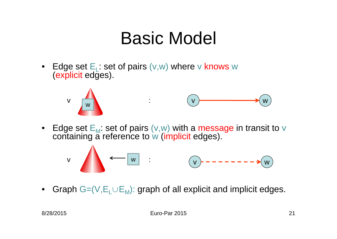## Basic Model

• Edge set E<sub>L</sub>: set of pairs (v,w) where v knows w<br>(explicit edges).





• Edge set E<sub>M</sub>: set of pairs (v,w) with a message in transit to v<br>containing a reference to w (implicit edges).



 $\bullet$ Graph  $G=(V,E_L\cup E_M)$ : graph of all explicit and implicit edges.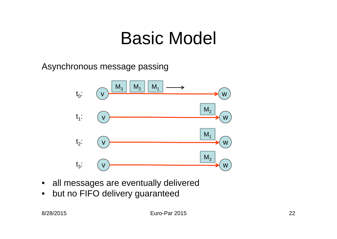## Basic Model

Asynchronous message passing



- $\bullet$ all messages are eventually delivered
- $\bullet$ but no FIFO delivery guaranteed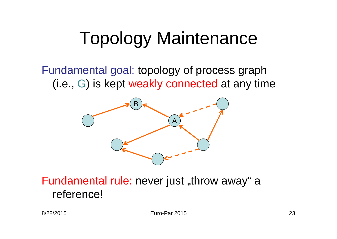#### Fundamental goal: topology of process graph (i.e., G) is kept weakly connected at any time



Fundamental rule: never just "throw away" a reference!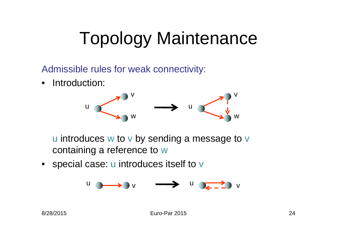Admissible rules for weak connectivity:

 $\bullet$ Introduction:



u introduces w to v by sending a message to v containing a reference to w

• special case: u introduces itself to v

$$
\begin{array}{ccc}\n\cup & \longrightarrow & \vee & \longrightarrow & \cup & \longrightarrow & \cup \\
\end{array}
$$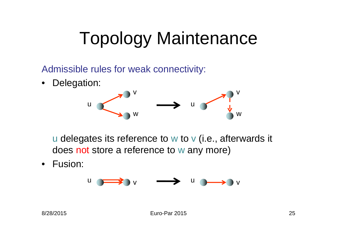Admissible rules for weak connectivity:

•Delegation:



u delegates its reference to w to v (i.e., afterwards it does not store a reference to w any more)

 $\bullet$ Fusion:

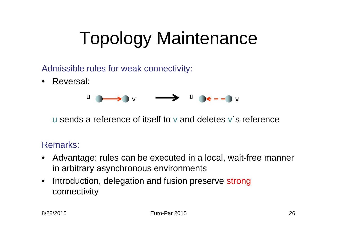Admissible rules for weak connectivity:

• Reversal:



u sends a reference of itself to v and deletes v´s reference

#### Remarks:

- Advantage: rules can be executed in a local, wait-free manner in arbitrary asynchronous environments
- $\bullet$ Introduction, delegation and fusion preserve strong connectivity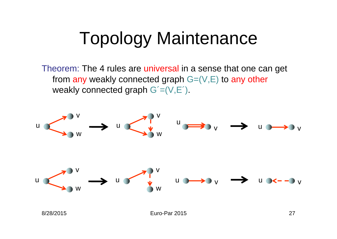Theorem: The 4 rules are universal in a sense that one can get from any weakly connected graph  $G=(V,E)$  to any other weakly connected graph  $G'=(V,E')$ .



Euro-Par 2015 27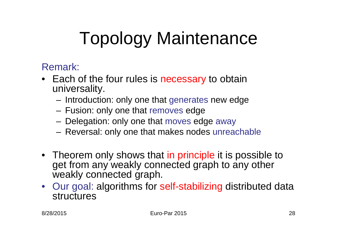Remark:

- Each of the four rules is necessary to obtain universality.
	- Introduction: only one that generates new edge
	- Fusion: only one that removes edge
	- Delegation: only one that moves edge away
	- Reversal: only one that makes nodes unreachable
- Theorem only shows that in principle it is possible to get from any weakly connected graph to any other weakly connected graph.
- Our goal: algorithms for self-stabilizing distributed data structures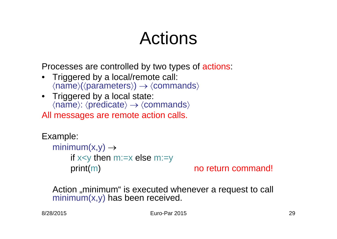## Actions

Processes are controlled by two types of actions:

- • Triggered by a local/remote call:  $\langle name \rangle (\langle parameters \rangle) \rightarrow \langle commands \rangle$
- Triggered by a local state:  $\langle name \rangle$ :  $\langle predicate \rangle \rightarrow \langle commands \rangle$

All messages are remote action calls.

```
Example:
  minimum(x,y) \rightarrowif x \leq y then m:=x else m:=yprint(m) no return command!
```
Action "minimum" is executed whenever a request to call minimum(x,y) has been received.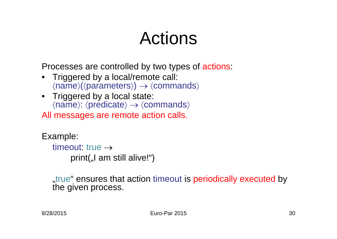## Actions

Processes are controlled by two types of actions:

- • Triggered by a local/remote call:  $\langle name \rangle (\langle parameters \rangle) \rightarrow \langle commands \rangle$
- Triggered by a local state:  $\langle name \rangle$ :  $\langle predicate \rangle \rightarrow \langle commands \rangle$

All messages are remote action calls.

Example: timeout: true  $\rightarrow$ print( $\mu$ , am still alive!")

true ensures that action timeout is periodically executed by the given process.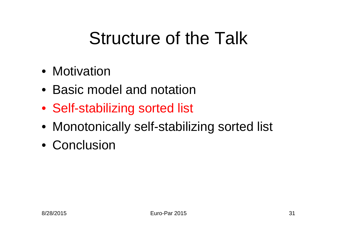# Structure of the Talk

- Motivation
- Basic model and notation
- Self-stabilizing sorted list
- Monotonically self-stabilizing sorted list
- Conclusion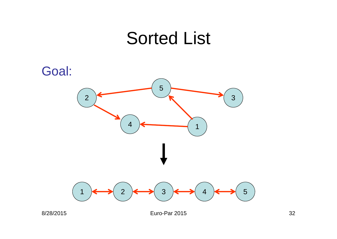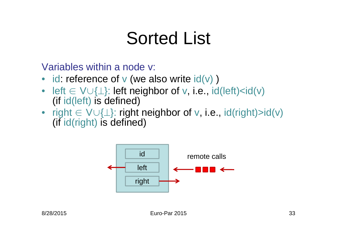Variables within a node v:

- id: reference of  $v$  (we also write  $id(v)$  )
- left  $\in$  V $\cup$ { $\perp$ }: left neighbor of v, i.e., id(left)<id(v) i (if id(left) is defined)
- right  $\in$  V $\cup$ { $\perp$ }: right neighbor of v, i.e., id(right)>id(v) i (if id(right) is defined)

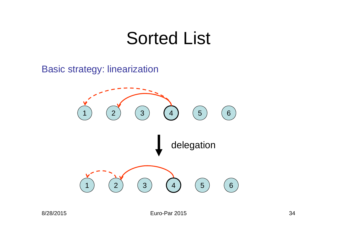Basic strategy: linearization



Euro-Par 2015 34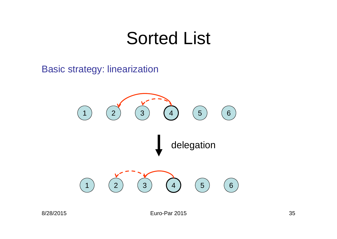#### Basic strategy: linearization



Euro-Par 2015 35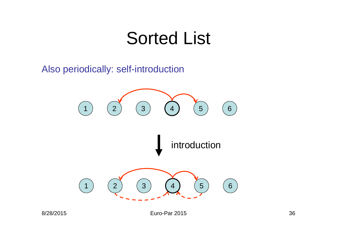Also periodically: self-introduction

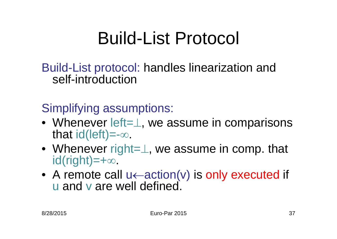# Build-List Protocol

Build-List protocol: handles linearization and self-introduction

Simplifying assumptions:

- Whenever left= $\perp$ , we assume in comparisons that id(left)=- $\infty$ .
- Whenever right= $\perp$ , we assume in comp. that id(right)=+∞.
- A remote call  $u \leftarrow \text{action}(v)$  is only executed if u and v are well defined.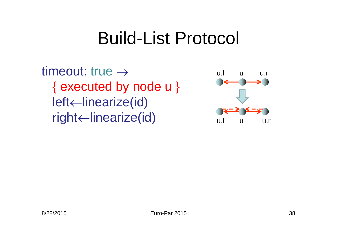#### Build-List Protocol

timeout: true  $\rightarrow$ { executed by node u } left←linearize(id) right <- linearize (id) under the u.r u.r u.r

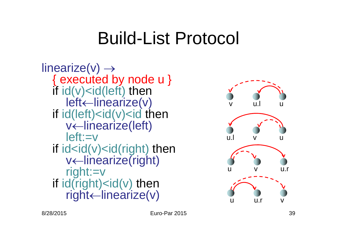## Build-List Protocol

```
linearize(v) \rightarrow{ executed by node u }
 if id(v) \lt i d(left) then
     left←linearize(v)
  if id(left) < id(v) < id then
     v
linearize(left)
     left:=vif id<id(v)<id(right) then
     v
linearize(right)
     right:=v
  if id(right) < id(v) then
     right←linearize(v)
```
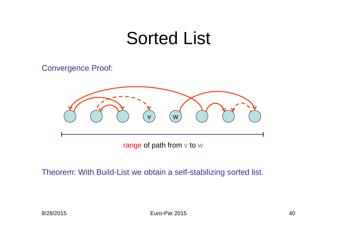#### Convergence Proof:



range of path from v to w

Theorem: With Build-List we obtain a self-stabilizing sorted list.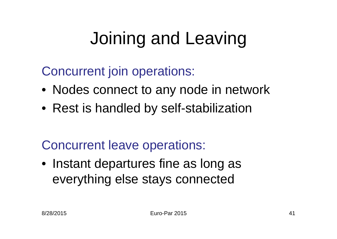# Joining and Leaving

Concurrent join operations:

- Nodes connect to any node in network
- Rest is handled by self-stabilization

Concurrent leave operations:

• Instant departures fine as long as everything else stays connected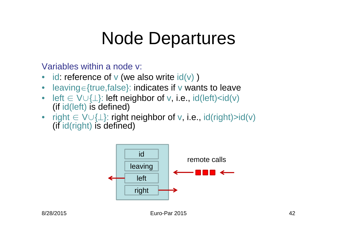## Node Departures

Variables within a node v:

- •id: reference of  $v$  (we also write  $\text{id}(v)$ )
- $\bullet$ leaving = {true, false}: indicates if v wants to leave
- $\bullet$  $left \in V \cup \{\perp\}$ : left neighbor of v, i.e., id(left)<id(v) (if id(left) is defined)
- $\;$  right  $\in$   $\vee\cup\{\perp\}$ : right neighbor of  $\vee$ , i.e., id(right)>id( $\vee$ ) (if id(right) is defined)

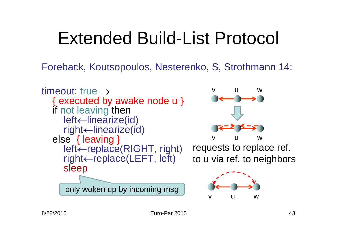# Extended Build-List Protocol

Foreback, Koutsopoulos, Nesterenko, S, Strothmann 14:

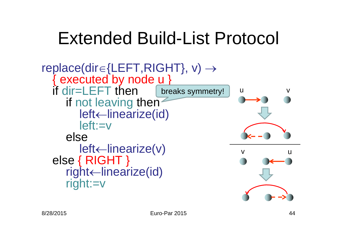# Extended Build-List Protocol

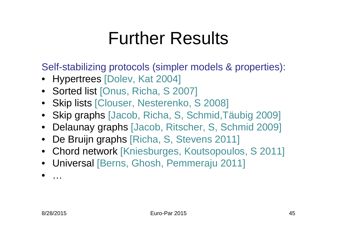## Further Results

Self-stabilizing protocols (simpler models & properties):

- Hypertrees [Dolev, Kat 2004]
- Sorted list [Onus, Richa, S 2007]
- Skip lists [Clouser, Nesterenko, S 2008]
- Skip graphs [Jacob, Richa, S, Schmid,Täubig 2009]
- Delaunay graphs [Jacob, Ritscher, S, Schmid 2009]
- De Bruijn graphs [Richa, S, Stevens 2011]
- Chord network [Kniesburges, Koutsopoulos, S 2011]
- Universal [Berns, Ghosh, Pemmeraju 2011]
- •…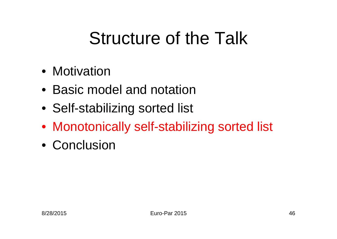# Structure of the Talk

- Motivation
- Basic model and notation
- Self-stabilizing sorted list
- Monotonically self-stabilizing sorted list
- Conclusion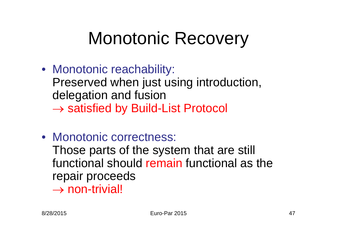# Monotonic Recovery

- Monotonic reachability: Preserved when just using introduction, delegation and fusion  $\rightarrow$  satisfied by Build-List Protocol
- Monotonic correctness: Those parts of the system that are still functional should remain functional as the repair proceeds  $\rightarrow$  non-trivial!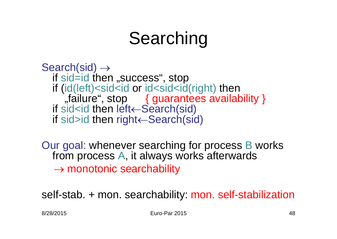# Searching

Search(sid)  $\rightarrow$ if sid=id then "success", stop if (id(left)<sid<id or id<sid<id(right) then ", failure", stop { guarantees availability } if sid<id then left←Search(sid) if sid>id then right Gearch(sid)

Our goal: whenever searching for process B works from process A, it always works afterwards  $\rightarrow$  monotonic searchability

self-stab. + mon. searchability: mon. self-stabilization

8/28/2015 Euro-Par 2015 48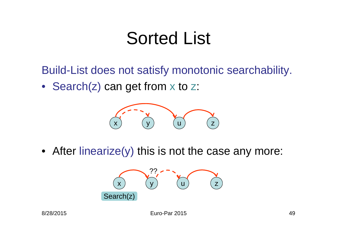Build-List does not satisfy monotonic searchability.

• Search(z) can get from x to z:



• After linearize(y) this is not the case any more:

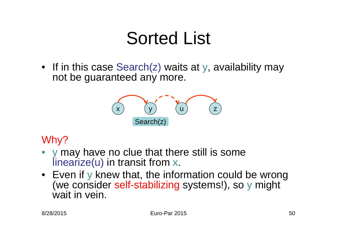• If in this case Search(z) waits at y, availability may not be guaranteed any more.



#### Why?

- • y may have no clue that there still is some linearize(u) in transit from x.
- Even if y knew that, the information could be wrong (we consider self-stabilizing systems!), so y might wait in vein.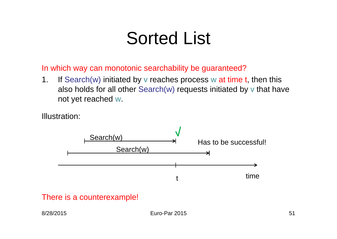In which way can monotonic searchability be guaranteed?

 $1<sub>1</sub>$ If Search(w) initiated by v reaches process w at time t, then this also holds for all other Search(w) requests initiated by <sup>v</sup> that have not yet reached w.

Illustration:



#### There is a counterexample!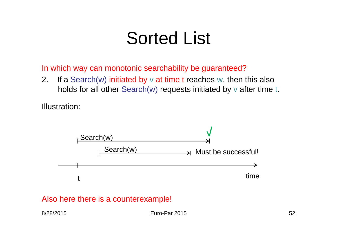In which way can monotonic searchability be guaranteed?

2. If a Search(w) initiated by  $v$  at time t reaches w, then this also holds for all other Search(w) requests initiated by <sup>v</sup> after time t.

Illustration:



#### Also here there is a counterexample!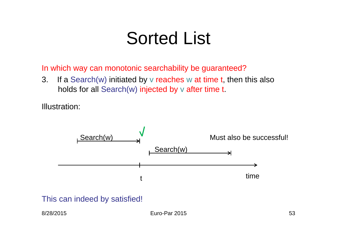In which way can monotonic searchability be guaranteed?

3. If a Search(w) initiated by v reaches w at time t, then this also holds for all Search(w) injected by <sup>v</sup> after time t.

Illustration:



This can indeed by satisfied!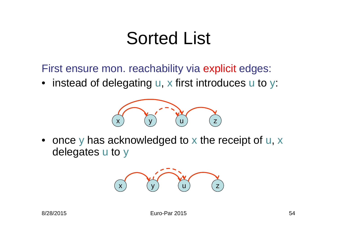First ensure mon. reachability via explicit edges:

• instead of delegating u, x first introduces u to y:



• once y has acknowledged to <sup>x</sup> the receipt of u, x delegates <sup>u</sup> to y

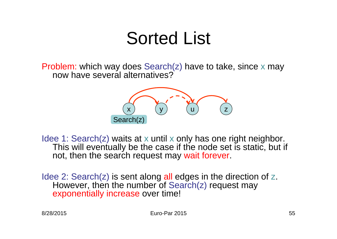Problem: which way does Search(z) have to take, since <sup>x</sup> may now have several alternatives?



Idee 1: Search(z) waits at x until <sup>x</sup> only has one right neighbor. This will eventually be the case if the node set is static, but if not, then the search request may wait forever.

Idee 2: Search(z) is sent along all edges in the direction of z. However, then the number of Search(z) request may exponentially increase over time!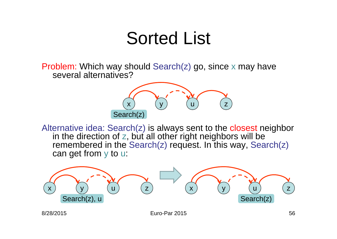Problem: Which way should Search(z) go, since <sup>x</sup> may have several alternatives?



Alternative idea: Search(z) is always sent to the closest neighbor in the direction of  $z$ , but all other right neighbors will be remembered in the Search(z) request. In this way, Search(z) can get from y to u:

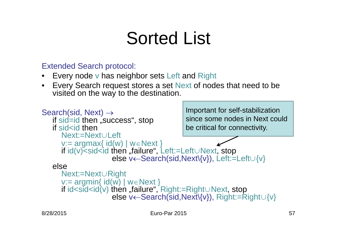#### Extended Search protocol:

- •Every node <sup>v</sup> has neighbor sets Left and Right
- $\bullet$  Every Search request stores a set Next of nodes that need to be visited on the way to the destination.

```
Search(sid, Next) \rightarrowif sid=id then "success", stop
   if sid<id then
      Next:=Next∪Left
      v:= argmax{ id(w) | w∈Next }<br>if id(v)<sid<id then "failure", Left:=Left∪Next, stop
                      else v←Search(sid,Next\{v}), Left:=Left∪{v}
   elseNext:=Next∪Right
      if id<sid<id(v) then "failure", Right:=Right∪Next, stop
                      else v←Search(sid,Next\{v}), Right:=Right∪{v}
                                             Important for self-stabilization
                                             since some nodes in Next couldbe critical for connectivity.
```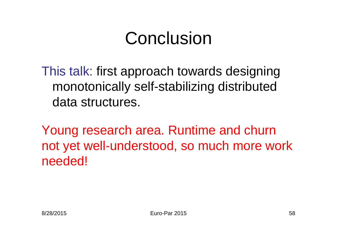# Conclusion

This talk: first approach towards designing monotonically self-stabilizing distributed data structures.

Young research area. Runtime and churn not yet well-understood, so much more work needed!